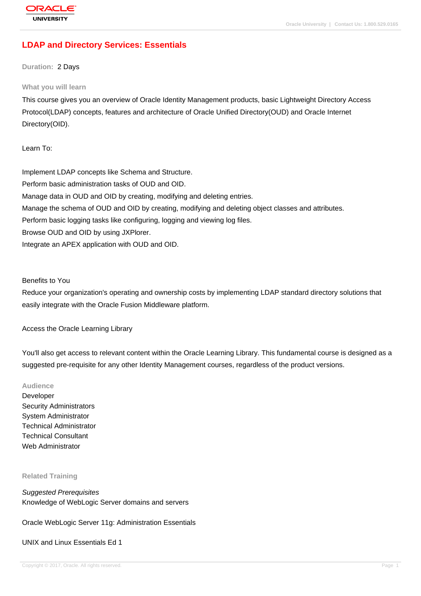# **[LDAP and Dire](http://education.oracle.com/pls/web_prod-plq-dad/db_pages.getpage?page_id=3)ctory Services: Essentials**

**Duration:** 2 Days

#### **What you will learn**

This course gives you an overview of Oracle Identity Management products, basic Lightweight Directory Access Protocol(LDAP) concepts, features and architecture of Oracle Unified Directory(OUD) and Oracle Internet Directory(OID).

Learn To:

Implement LDAP concepts like Schema and Structure. Perform basic administration tasks of OUD and OID. Manage data in OUD and OID by creating, modifying and deleting entries. Manage the schema of OUD and OID by creating, modifying and deleting object classes and attributes. Perform basic logging tasks like configuring, logging and viewing log files. Browse OUD and OID by using JXPlorer. Integrate an APEX application with OUD and OID.

Benefits to You

Reduce your organization's operating and ownership costs by implementing LDAP standard directory solutions that easily integrate with the Oracle Fusion Middleware platform.

Access the Oracle Learning Library

You'll also get access to relevant content within the Oracle Learning Library. This fundamental course is designed as a suggested pre-requisite for any other Identity Management courses, regardless of the product versions.

#### **Audience**

Developer Security Administrators System Administrator Technical Administrator Technical Consultant Web Administrator

#### **Related Training**

Suggested Prerequisites Knowledge of WebLogic Server domains and servers

Oracle WebLogic Server 11g: Administration Essentials

#### UNIX and Linux Essentials Ed 1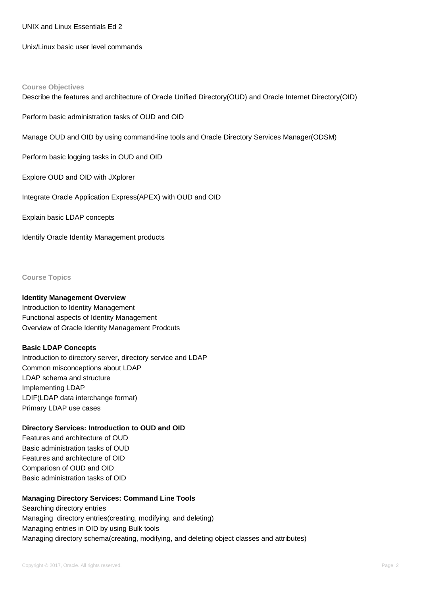UNIX and Linux Essentials Ed 2

Unix/Linux basic user level commands

#### **Course Objectives**

Describe the features and architecture of Oracle Unified Directory(OUD) and Oracle Internet Directory(OID)

Perform basic administration tasks of OUD and OID

Manage OUD and OID by using command-line tools and Oracle Directory Services Manager(ODSM)

Perform basic logging tasks in OUD and OID

Explore OUD and OID with JXplorer

Integrate Oracle Application Express(APEX) with OUD and OID

Explain basic LDAP concepts

Identify Oracle Identity Management products

**Course Topics**

### **Identity Management Overview**

Introduction to Identity Management Functional aspects of Identity Management Overview of Oracle Identity Management Prodcuts

### **Basic LDAP Concepts**

Introduction to directory server, directory service and LDAP Common misconceptions about LDAP LDAP schema and structure Implementing LDAP LDIF(LDAP data interchange format) Primary LDAP use cases

### **Directory Services: Introduction to OUD and OID**

Features and architecture of OUD Basic administration tasks of OUD Features and architecture of OID Compariosn of OUD and OID Basic administration tasks of OID

## **Managing Directory Services: Command Line Tools**

Searching directory entries Managing directory entries(creating, modifying, and deleting) Managing entries in OID by using Bulk tools Managing directory schema(creating, modifying, and deleting object classes and attributes)